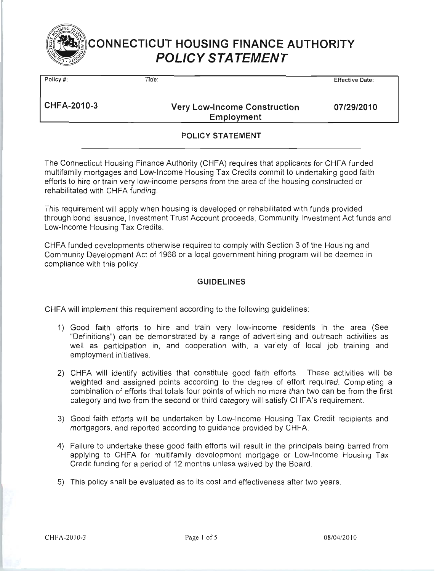

| Policy #:          | Title:                                            | <b>Effective Date:</b> |
|--------------------|---------------------------------------------------|------------------------|
| <b>CHFA-2010-3</b> | <b>Very Low-Income Construction</b><br>Employment | 07/29/2010             |
|                    | <b>POLICY STATEMENT</b>                           |                        |
|                    |                                                   |                        |

The Connecticut Housing Finance Authority (CHFA) requires that applicants for CHFA funded multifamily mortgages and Low-Income Housing Tax Credits commit to undertaking good faith efforts to hire or train very low-income persons from the area of the housing constructed or rehabilitated with CHFA funding.

This requirement will apply when housing is developed or rehabilitated with funds provided through bond issuance, Investment Trust Account proceeds, Community Investment Act funds and Low-Income Housing Tax Credits.

CHFA funded developments otherwise required to comply with Section 3 of the Housing and Community Development Act of 1968 or a local government hiring program will be deemed in compliance with this policy.

### **GUIDELINES**

CHFA will implement this requirement according to the following guidelines:

- 1) Good faith efforts to hire and train very low-income residents in the area (See "Definitions") can be demonstrated by a range of advertising and outreach activities as well as participation in, and cooperation with, a variety of local job training and employment initiatives.
- 2) CHFA will identify activities that constitute good faith efforts. These activities will be weighted and assigned points according to the degree of effort required. Completing a combination of efforts that totals four points of which no more than two can be from the first category and two from the second or third category will satisfy CHFA's requirement.
- 3) Good faith efforts will be undertaken by Low-Income Housing Tax Credit recipients and mortgagors, and reported according to guidance provided by CHFA.
- 4) Failure to undertake these good faith efforts will result in the principals being barred from applying to CHFA for multifamily development mortgage or Low-Income Housing Tax Credit funding for a period of 12 months unless waived by the Board.
- 5) This policy shall be evaluated as to its cost and effectiveness after two years.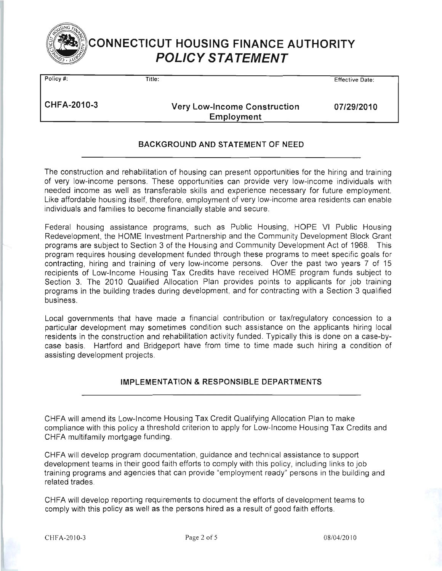

Policy #:

 $\overline{\mathsf{Title}}$ 

**Effective Date:** 

CHFA-2010-3

**Very Low-Income Construction** Employment

07/29/2010

## BACKGROUND AND STATEMENT OF NEED

The construction and rehabilitation of housing can present opportunities for the hiring and training of very low-income persons. These opportunities can provide very low-income individuals with needed income as well as transferable skills and experience necessary for future employment. Like affordable housing itself, therefore, employment of very low-income area residents can enable individuals and families to become financially stable and secure.

Federal housing assistance programs, such as Public Housing, HOPE VI Public Housing Redevelopment, the HOME Investment Partnership and the Community Development Block Grant programs are subject to Section 3 of the Housing and Community Development Act of 1968. This program requires housing development funded through these programs to meet specific goals for contracting, hiring and training of very low-income persons. Over the past two years 7 of 15 recipients of Low-Income Housing Tax Credits have received HOME program funds subject to Section 3. The 2010 Qualified Allocation Plan provides points to applicants for job training programs in the building trades during development, and for contracting with a Section 3 qualified business.

Local governments that have made a financial contribution or tax/regulatory concession to a particular development may sometimes condition such assistance on the applicants hiring local residents in the construction and rehabilitation activity funded. Typically this is done on a case-bycase basis. Hartford and Bridgeport have from time to time made such hiring a condition of assisting development projects.

## **IMPLEMENTATION & RESPONSIBLE DEPARTMENTS**

CHFA will amend its Low-Income Housing Tax Credit Qualifying Allocation Plan to make compliance with this policy a threshold criterion to apply for Low-Income Housing Tax Credits and CHFA multifamily mortgage funding.

CHFA will develop program documentation, guidance and technical assistance to support development teams in their good faith efforts to comply with this policy, including links to job training programs and agencies that can provide "employment ready" persons in the building and related trades.

CHFA will develop reporting requirements to document the efforts of development teams to comply with this policy as well as the persons hired as a result of good faith efforts.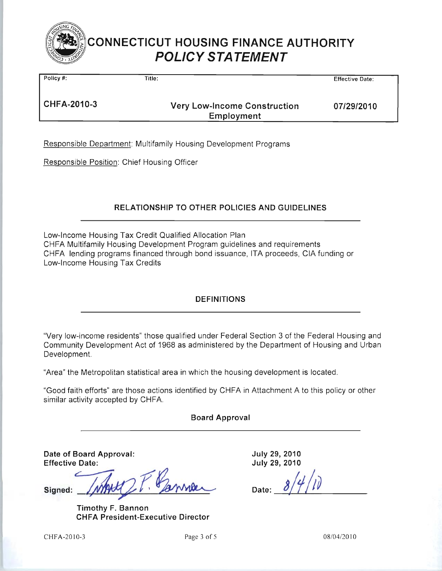

| Policy #:   | Title:                                            | <b>Effective Date:</b> |
|-------------|---------------------------------------------------|------------------------|
| CHFA-2010-3 | <b>Very Low-Income Construction</b><br>Employment | 07/29/2010             |

Responsible Department: Multifamily Housing Development Programs

Responsible Position: Chief Housing Officer

## **RELATIONSHIP TO OTHER POLICIES AND GUIDELINES**

Low-Income Housing Tax Credit Qualified Allocation Plan CHFA Multifamily Housing Development Program guidelines and requirements CHFA lending programs financed through bond issuance, ITA proceeds, CIA funding or Low-Income Housing Tax Credits

## **DEFINITIONS**

"Very low-income residents" those qualified under Federal Section 3 of the Federal Housing and Community Development Act of 1968 as administered by the Department of Housing and Urban Development.

"Area" the Metropolitan statistical area in which the housing development is located.

"Good faith efforts" are those actions identified by CHFA in Attachment A to this policy or other similar activity accepted by CHFA.

### **Board Approval**

Date of Board Approval: **Effective Date:** 

↙ Signed:

Timothy F. Bannon **CHFA President-Executive Director** 

July 29, 2010 July 29, 2010

CHFA-2010-3

Page 3 of 5

08/04/2010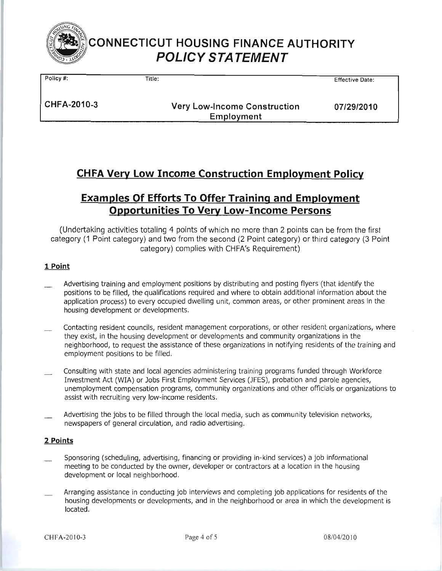

Policy #: Title:

**Effective Date:** 

CHFA-2010-3

**Very Low-Income Construction** Employment

07/29/2010

# **CHFA Very Low Income Construction Employment Policy**

# **Examples Of Efforts To Offer Training and Employment Opportunities To Very Low-Income Persons**

(Undertaking activities totaling 4 points of which no more than 2 points can be from the first category (1 Point category) and two from the second (2 Point category) or third category (3 Point category) complies with CHFA's Requirement)

### 1 Point

- Advertising training and employment positions by distributing and posting flyers (that identify the positions to be filled, the qualifications required and where to obtain additional information about the application process) to every occupied dwelling unit, common areas, or other prominent areas in the housing development or developments.
- Contacting resident councils, resident management corporations, or other resident organizations, where they exist, in the housing development or developments and community organizations in the neighborhood, to request the assistance of these organizations in notifying residents of the training and employment positions to be filled.
- Consulting with state and local agencies administering training programs funded through Workforce Investment Act (WIA) or Jobs First Employment Services (JFES), probation and parole agencies, unemployment compensation programs, community organizations and other officials or organizations to assist with recruiting very low-income residents.
- Advertising the jobs to be filled through the local media, such as community television networks, newspapers of general circulation, and radio advertising.

### 2 Points

- Sponsoring (scheduling, advertising, financing or providing in-kind services) a job informational meeting to be conducted by the owner, developer or contractors at a location in the housing development or local neighborhood.
- Arranging assistance in conducting job interviews and completing job applications for residents of the housing developments or developments, and in the neighborhood or area in which the development is located.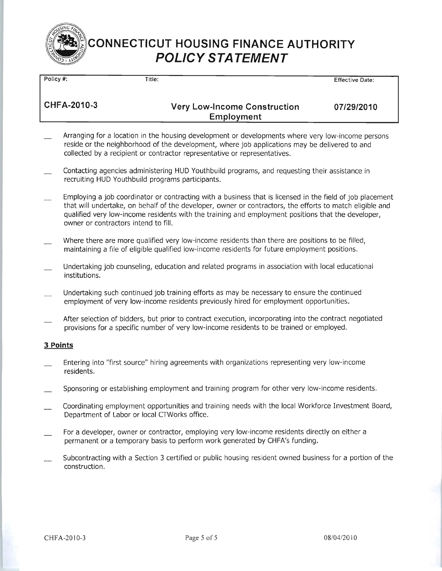

Policy #:  $\overline{\mathsf{Title}}$ Effective Date: CHFA-2010-3 **Very Low-Income Construction** 07/29/2010 Employment Arranging for a location in the housing development or developments where very low-income persons reside or the neighborhood of the development, where job applications may be delivered to and collected by a recipient or contractor representative or representatives.

- Contacting agencies administering HUD Youthbuild programs, and requesting their assistance in recruiting HUD Youthbuild programs participants.
- Employing a job coordinator or contracting with a business that is licensed in the field of job placement that will undertake, on behalf of the developer, owner or contractors, the efforts to match eligible and qualified very low-income residents with the training and employment positions that the developer, owner or contractors intend to fill.
- Where there are more qualified very low-income residents than there are positions to be filled, maintaining a file of eligible qualified low-income residents for future employment positions.
- Undertaking job counseling, education and related programs in association with local educational institutions.
- Undertaking such continued job training efforts as may be necessary to ensure the continued employment of very low-income residents previously hired for employment opportunities.
- After selection of bidders, but prior to contract execution, incorporating into the contract negotiated provisions for a specific number of very low-income residents to be trained or employed.

#### 3 Points

- Entering into "first source" hiring agreements with organizations representing very low-income residents.
- Sponsoring or establishing employment and training program for other very low-income residents.
- Coordinating employment opportunities and training needs with the local Workforce Investment Board, Department of Labor or local CTWorks office.
- For a developer, owner or contractor, employing very low-income residents directly on either a permanent or a temporary basis to perform work generated by CHFA's funding.
- Subcontracting with a Section 3 certified or public housing resident owned business for a portion of the construction.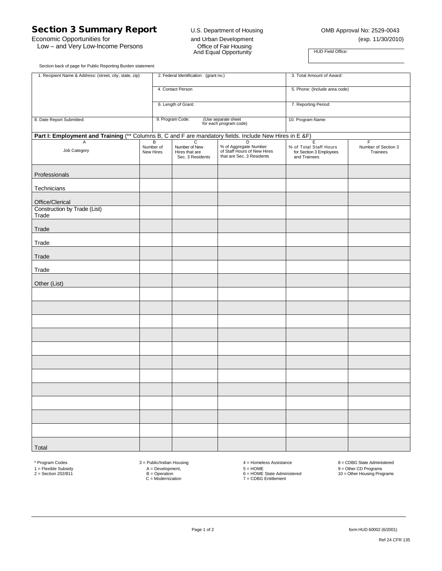## Section 3 Summary Report U.S. Department of Housing COMB Approval No: 2529-0043

Low – and Very Low-Income Persons

Economic Opportunities for and Urban Development (exp. 11/30/2010) The Community of the Community<br>
And Equal Opportunity<br>
And Equal Opportunity

Section back of page for Public Reporting Burden statement

| 1. Recipient Name & Address: (street, city, state, zip)                                                 |                             | 2. Federal Identification: (grant no.)                   |                                                                                        | 3. Total Amount of Award:                                              |                                      |  |  |
|---------------------------------------------------------------------------------------------------------|-----------------------------|----------------------------------------------------------|----------------------------------------------------------------------------------------|------------------------------------------------------------------------|--------------------------------------|--|--|
|                                                                                                         |                             | 4. Contact Person                                        |                                                                                        | 5. Phone: (Include area code)                                          |                                      |  |  |
|                                                                                                         |                             | 6. Length of Grant:                                      |                                                                                        | 7. Reporting Period:                                                   |                                      |  |  |
| 8. Date Report Submitted:                                                                               |                             | 9. Program Code:                                         | (Use separate sheet<br>for each program code)                                          | 10. Program Name:                                                      |                                      |  |  |
| Part I: Employment and Training (** Columns B, C and F are mandatory fields. Include New Hires in E &F) |                             |                                                          |                                                                                        |                                                                        |                                      |  |  |
| Α<br>Job Category                                                                                       | B<br>Number of<br>New Hires | С<br>Number of New<br>Hires that are<br>Sec. 3 Residents | D<br>% of Aggregate Number<br>of Staff Hours of New Hires<br>that are Sec. 3 Residents | Ε<br>% of Total Staff Hours<br>for Section 3 Employees<br>and Trainees | F<br>Number of Section 3<br>Trainees |  |  |
| Professionals                                                                                           |                             |                                                          |                                                                                        |                                                                        |                                      |  |  |
| Technicians                                                                                             |                             |                                                          |                                                                                        |                                                                        |                                      |  |  |
| Office/Clerical                                                                                         |                             |                                                          |                                                                                        |                                                                        |                                      |  |  |
| Construction by Trade (List)<br>Trade                                                                   |                             |                                                          |                                                                                        |                                                                        |                                      |  |  |
| Trade                                                                                                   |                             |                                                          |                                                                                        |                                                                        |                                      |  |  |
| Trade                                                                                                   |                             |                                                          |                                                                                        |                                                                        |                                      |  |  |
| Trade                                                                                                   |                             |                                                          |                                                                                        |                                                                        |                                      |  |  |
| Trade                                                                                                   |                             |                                                          |                                                                                        |                                                                        |                                      |  |  |
| Other (List)                                                                                            |                             |                                                          |                                                                                        |                                                                        |                                      |  |  |
|                                                                                                         |                             |                                                          |                                                                                        |                                                                        |                                      |  |  |
|                                                                                                         |                             |                                                          |                                                                                        |                                                                        |                                      |  |  |
|                                                                                                         |                             |                                                          |                                                                                        |                                                                        |                                      |  |  |
|                                                                                                         |                             |                                                          |                                                                                        |                                                                        |                                      |  |  |
|                                                                                                         |                             |                                                          |                                                                                        |                                                                        |                                      |  |  |
|                                                                                                         |                             |                                                          |                                                                                        |                                                                        |                                      |  |  |
|                                                                                                         |                             |                                                          |                                                                                        |                                                                        |                                      |  |  |
|                                                                                                         |                             |                                                          |                                                                                        |                                                                        |                                      |  |  |
|                                                                                                         |                             |                                                          |                                                                                        |                                                                        |                                      |  |  |
|                                                                                                         |                             |                                                          |                                                                                        |                                                                        |                                      |  |  |
|                                                                                                         |                             |                                                          |                                                                                        |                                                                        |                                      |  |  |
| Total                                                                                                   |                             |                                                          |                                                                                        |                                                                        |                                      |  |  |

\* Program Codes  $A = Deulic/Indian Housing$ <br>  $A = Development$ ,  $B = Operation$ <br>  $D = HOME$ <br>  $D = HOME$ <br>  $E = HOME$ <br>  $E = HOME$ <br>  $E = HOME$ <br>  $E = HOME$ <br>  $E = HOME$ <br>  $E = HOME$ <br>  $E = HOME$ <br>  $E = HOME$ <br>  $E = HOME$ <br>  $E = HOME$ <br>  $E = HOME$ <br>  $E = HOME$ <br>  $E = HOME$ <br>  $E = HOME$ <br>  $F = HOME$ <br>  $F = HOME$ <br>  $F = HOME$ <br>  $F =$ 1 = Flexible Subsidy A = Development, 5 = HOME 9 = Other CD Programs<br>B = DDE State Administered 6 = HOME State Administered 10 = Other Housing Progra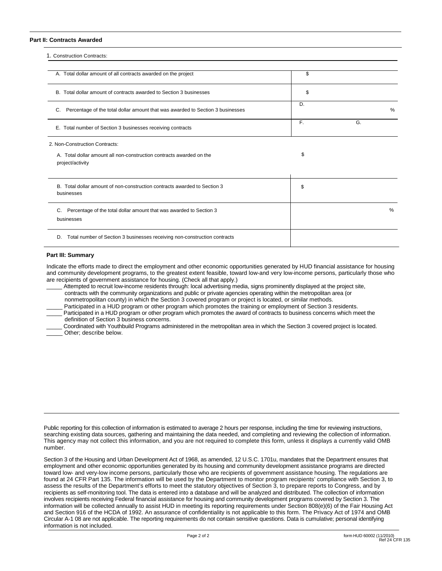#### **Part II: Contracts Awarded**

| 1. Construction Contracts:                                                               |    |    |      |
|------------------------------------------------------------------------------------------|----|----|------|
| A. Total dollar amount of all contracts awarded on the project                           | \$ |    |      |
| B. Total dollar amount of contracts awarded to Section 3 businesses                      | \$ |    |      |
| Percentage of the total dollar amount that was awarded to Section 3 businesses<br>C.     | D. |    | $\%$ |
| E. Total number of Section 3 businesses receiving contracts                              | F. | G. |      |
| 2. Non-Construction Contracts:                                                           |    |    |      |
| A. Total dollar amount all non-construction contracts awarded on the<br>project/activity | \$ |    |      |
| B. Total dollar amount of non-construction contracts awarded to Section 3<br>businesses  | \$ |    |      |
| Percentage of the total dollar amount that was awarded to Section 3<br>C.<br>businesses  |    |    | $\%$ |
| Total number of Section 3 businesses receiving non-construction contracts<br>D.          |    |    |      |

#### **Part III: Summary**

Indicate the efforts made to direct the employment and other economic opportunities generated by HUD financial assistance for housing and community development programs, to the greatest extent feasible, toward low-and very low-income persons, particularly those who are recipients of government assistance for housing. (Check all that apply.)

Attempted to recruit low-income residents through: local advertising media, signs prominently displayed at the project site, contracts with the community organizations and public or private agencies operating within the metropolitan area (or nonmetropolitan county) in which the Section 3 covered program or project is located, or similar methods.

Participated in a HUD program or other program which promotes the training or employment of Section 3 residents.

Participated in a HUD program or other program which promotes the award of contracts to business concerns which meet the definition of Section 3 business concerns.

\_\_\_\_\_ Coordinated with Youthbuild Programs administered in the metropolitan area in which the Section 3 covered project is located. Other; describe below.

Public reporting for this collection of information is estimated to average 2 hours per response, including the time for reviewing instructions, searching existing data sources, gathering and maintaining the data needed, and completing and reviewing the collection of information. This agency may not collect this information, and you are not required to complete this form, unless it displays a currently valid OMB number.

Section 3 of the Housing and Urban Development Act of 1968, as amended, 12 U.S.C. 1701u, mandates that the Department ensures that employment and other economic opportunities generated by its housing and community development assistance programs are directed toward low- and very-low income persons, particularly those who are recipients of government assistance housing. The regulations are found at 24 CFR Part 135. The information will be used by the Department to monitor program recipients' compliance with Section 3, to assess the results of the Department's efforts to meet the statutory objectives of Section 3, to prepare reports to Congress, and by recipients as self-monitoring tool. The data is entered into a database and will be analyzed and distributed. The collection of information involves recipients receiving Federal financial assistance for housing and community development programs covered by Section 3. The information will be collected annually to assist HUD in meeting its reporting requirements under Section 808(e)(6) of the Fair Housing Act and Section 916 of the HCDA of 1992. An assurance of confidentiality is not applicable to this form. The Privacy Act of 1974 and OMB Circular A-1 08 are not applicable. The reporting requirements do not contain sensitive questions. Data is cumulative; personal identifying information is not included.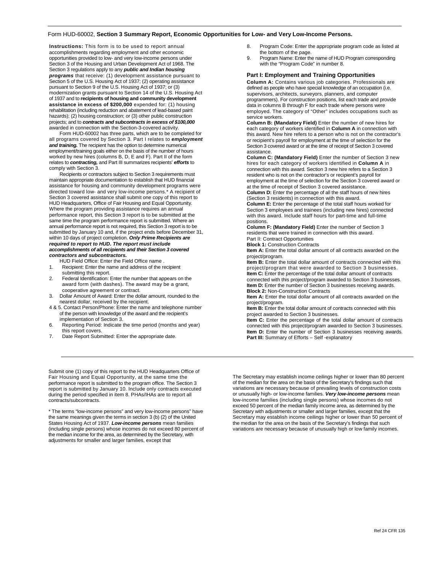#### Form HUD-60002, **Section 3 Summary Report, Economic Opportunities for Low- and Very Low-Income Persons.**

**Instructions:** This form is to be used to report annual accomplishments regarding employment and other economic opportunities provided to low- and very low-income persons under Section 3 of the Housing and Urban Development Act of 1968. The Section 3 regulations apply to any *public and Indian housing programs* that receive: (1) development assistance pursuant to Section 5 of the U.S. Housing Act of 1937; (2) operating assistance pursuant to Section 9 of the U.S. Housing Act of 1937; or (3) modernization grants pursuant to Section 14 of the U.S. Housing Act of 1937 and to **recipients of housing and community development assistance in excess of \$200,000** expended for: (1) housing rehabilitation (including reduction and abatement of lead-based paint hazards); (2) housing construction; or (3) other public construction projects; and to *contracts and subcontracts in excess of \$100,000*  awarded in connection with the Section-3-covered activity.

Form HUD-60002 has three parts, which are to be completed for all programs covered by Section 3. Part I relates to *employment and training.* The recipient has the option to determine numerical employment/training goals either on the basis of the number of hours worked by new hires (columns B, D, E and F). Part II of the form relates to *contracting,* and Part III summarizes recipients' *efforts* to comply with Section 3.

Recipients or contractors subject to Section 3 requirements must maintain appropriate documentation to establish that HUD financial assistance for housing and community development programs were directed toward low- and very low-income persons.\* A recipient of Section 3 covered assistance shall submit one copy of this report to HUD Headquarters, Office of Fair Housing and Equal Opportunity. Where the program providing assistance requires an annual performance report, this Section 3 report is to be submitted at the same time the program performance report is submitted. Where an annual performance report is not required, this Section 3 report is to be submitted by January 10 and, if the project ends before December 31, within 10 days of project completion. *Only Prime Recipients are required to report to HUD. The report must include accomplishments of all recipients and their Section 3 covered contractors and subcontractors.*

HUD Field Office: Enter the Field Office name .

- 1. Recipient: Enter the name and address of the recipient submitting this report.
- 2. Federal Identification: Enter the number that appears on the award form (with dashes). The award may be a grant, cooperative agreement or contract.
- 3. Dollar Amount of Award: Enter the dollar amount, rounded to the nearest dollar, received by the recipient.
- 4 & 5. Contact Person/Phone: Enter the name and telephone number of the person with knowledge of the award and the recipient's implementation of Section 3.
- 6. Reporting Period: Indicate the time period (months and year) this report covers.
- 7. Date Report Submitted: Enter the appropriate date.

Submit one (1) copy of this report to the HUD Headquarters Office of Fair Housing and Equal Opportunity, at the same time the performance report is submitted to the program office. The Section 3 report is submitted by January 10. Include only contracts executed during the period specified in item 8. PHAs/IHAs are to report all contracts/subcontracts.

\* The terms "low-income persons" and very low-income persons" have the same meanings given the terms in section 3 (b) (2) of the United States Housing Act of 1937. *Low-income persons* mean families (including single persons) whose incomes do not exceed 80 percent of the median income for the area, as determined by the Secretary, with adjustments for smaller and larger families, except that

- 8. Program Code: Enter the appropriate program code as listed at the bottom of the page.
- 9. Program Name: Enter the name of HUD Program corresponding with the "Program Code" in number 8.

#### **Part I: Employment and Training Opportunities**

**Column A:** Contains various job categories. Professionals are defined as people who have special knowledge of an occupation (i.e. supervisors, architects, surveyors, planners, and computer programmers). For construction positions, list each trade and provide data in columns B through F for each trade where persons were employed. The category of "Other" includes occupations such as service workers.

**Column B: (Mandatory Field)** Enter the number of new hires for each category of workers identified in **Column A** in connection with this award. New hire refers to a person who is not on the contractor's or recipient's payroll for employment at the time of selection for the Section 3 covered award or at the time of receipt of Section 3 covered assistance.

**Column C: (Mandatory Field)** Enter the number of Section 3 new hires for each category of workers identified in **Column A** in connection with this award. Section 3 new hire refers to a Section 3 resident who is not on the contractor's or recipient's payroll for employment at the time of selection for the Section 3 covered award or at the time of receipt of Section 3 covered assistance.

**Column D:** Enter the percentage of all the staff hours of new hires (Section 3 residents) in connection with this award.

**Column E:** Enter the percentage of the total staff hours worked for Section 3 employees and trainees (including new hires) connected with this award. Include staff hours for part-time and full-time positions.

**Column F: (Mandatory Field)** Enter the number of Section 3 residents that were trained in connection with this award. Part II: Contract Opportunities

**Block 1:** Construction Contracts

**Item A:** Enter the total dollar amount of all contracts awarded on the project/program.

**Item B:** Enter the total dollar amount of contracts connected with this project/program that were awarded to Section 3 businesses. **Item C:** Enter the percentage of the total dollar amount of contracts

connected with this project/program awarded to Section 3 businesses. **Item D:** Enter the number of Section 3 businesses receiving awards. **Block 2:** Non-Construction Contracts

**Item A:** Enter the total dollar amount of all contracts awarded on the project/program.

**Item B:** Enter the total dollar amount of contracts connected with this project awarded to Section 3 businesses.

**Item C:** Enter the percentage of the total dollar amount of contracts connected with this project/program awarded to Section 3 businesses. **Item D:** Enter the number of Section 3 businesses receiving awards. **Part III:** Summary of Efforts – Self -explanatory

The Secretary may establish income ceilings higher or lower than 80 percent of the median for the area on the basis of the Secretary's findings such that variations are necessary because of prevailing levels of construction costs or unusually high- or low-income families. *Very low-income persons* mean low-income families (including single persons) whose incomes do not exceed 50 percent of the median family income area, as determined by the Secretary with adjustments or smaller and larger families, except that the Secretary may establish income ceilings higher or lower than 50 percent of the median for the area on the basis of the Secretary's findings that such variations are necessary because of unusually high or low family incomes.